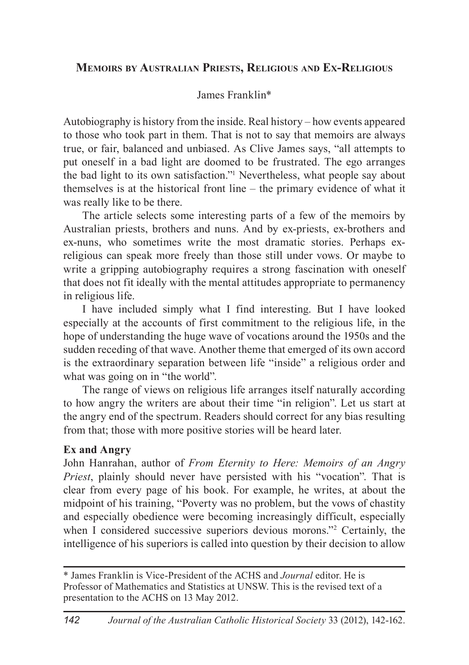# **Memoirs by Australian Priests, Religious and Ex-Religious**

# James Franklin\*

Autobiography is history from the inside. Real history – how events appeared to those who took part in them. That is not to say that memoirs are always true, or fair, balanced and unbiased. As Clive James says, "all attempts to put oneself in a bad light are doomed to be frustrated. The ego arranges the bad light to its own satisfaction."1 Nevertheless, what people say about themselves is at the historical front line – the primary evidence of what it was really like to be there.

The article selects some interesting parts of a few of the memoirs by Australian priests, brothers and nuns. And by ex-priests, ex-brothers and ex-nuns, who sometimes write the most dramatic stories. Perhaps exreligious can speak more freely than those still under vows. Or maybe to write a gripping autobiography requires a strong fascination with oneself that does not fit ideally with the mental attitudes appropriate to permanency in religious life.

I have included simply what I find interesting. But I have looked especially at the accounts of first commitment to the religious life, in the hope of understanding the huge wave of vocations around the 1950s and the sudden receding of that wave. Another theme that emerged of its own accord is the extraordinary separation between life "inside" a religious order and what was going on in "the world".

The range of views on religious life arranges itself naturally according to how angry the writers are about their time "in religion". Let us start at the angry end of the spectrum. Readers should correct for any bias resulting from that; those with more positive stories will be heard later.

## **Ex and Angry**

John Hanrahan, author of *From Eternity to Here: Memoirs of an Angry Priest*, plainly should never have persisted with his "vocation". That is clear from every page of his book. For example, he writes, at about the midpoint of his training, "Poverty was no problem, but the vows of chastity and especially obedience were becoming increasingly difficult, especially when I considered successive superiors devious morons."2 Certainly, the intelligence of his superiors is called into question by their decision to allow

<sup>\*</sup> James Franklin is Vice-President of the ACHS and *Journal* editor. He is Professor of Mathematics and Statistics at UNSW. This is the revised text of a presentation to the ACHS on 13 May 2012.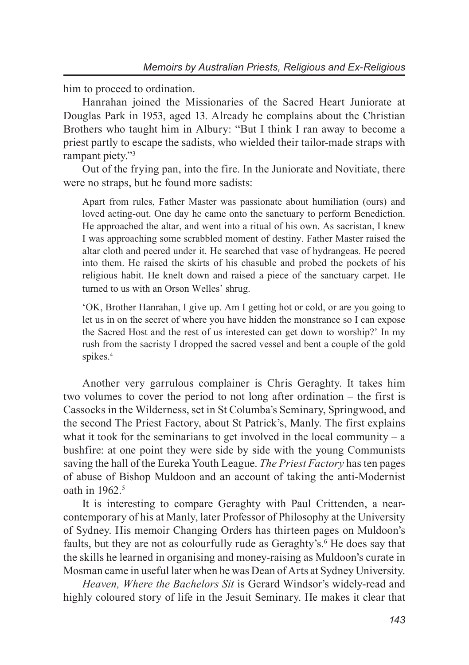him to proceed to ordination.

Hanrahan joined the Missionaries of the Sacred Heart Juniorate at Douglas Park in 1953, aged 13. Already he complains about the Christian Brothers who taught him in Albury: "But I think I ran away to become a priest partly to escape the sadists, who wielded their tailor-made straps with rampant piety."3

Out of the frying pan, into the fire. In the Juniorate and Novitiate, there were no straps, but he found more sadists:

Apart from rules, Father Master was passionate about humiliation (ours) and loved acting-out. One day he came onto the sanctuary to perform Benediction. He approached the altar, and went into a ritual of his own. As sacristan, I knew I was approaching some scrabbled moment of destiny. Father Master raised the altar cloth and peered under it. He searched that vase of hydrangeas. He peered into them. He raised the skirts of his chasuble and probed the pockets of his religious habit. He knelt down and raised a piece of the sanctuary carpet. He turned to us with an Orson Welles' shrug.

'OK, Brother Hanrahan, I give up. Am I getting hot or cold, or are you going to let us in on the secret of where you have hidden the monstrance so I can expose the Sacred Host and the rest of us interested can get down to worship?' In my rush from the sacristy I dropped the sacred vessel and bent a couple of the gold spikes.<sup>4</sup>

Another very garrulous complainer is Chris Geraghty. It takes him two volumes to cover the period to not long after ordination – the first is Cassocks in the Wilderness, set in St Columba's Seminary, Springwood, and the second The Priest Factory, about St Patrick's, Manly. The first explains what it took for the seminarians to get involved in the local community  $- a$ bushfire: at one point they were side by side with the young Communists saving the hall of the Eureka Youth League. *The Priest Factory* has ten pages of abuse of Bishop Muldoon and an account of taking the anti-Modernist oath in 1962.<sup>5</sup>

It is interesting to compare Geraghty with Paul Crittenden, a nearcontemporary of his at Manly, later Professor of Philosophy at the University of Sydney. His memoir Changing Orders has thirteen pages on Muldoon's faults, but they are not as colourfully rude as Geraghty's.<sup>6</sup> He does say that the skills he learned in organising and money-raising as Muldoon's curate in Mosman came in useful later when he was Dean of Arts at Sydney University.

*Heaven, Where the Bachelors Sit* is Gerard Windsor's widely-read and highly coloured story of life in the Jesuit Seminary. He makes it clear that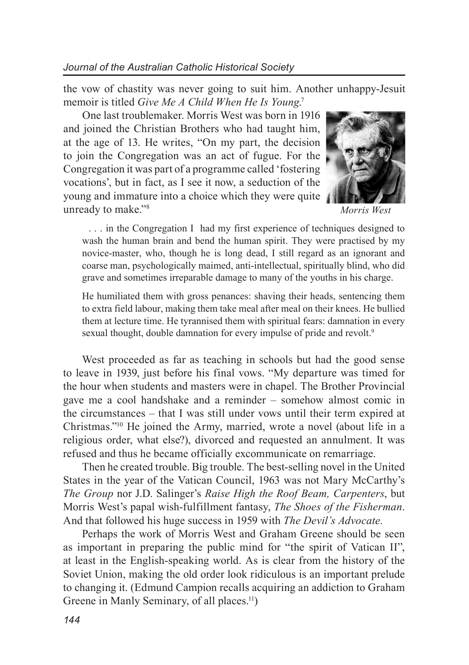the vow of chastity was never going to suit him. Another unhappy-Jesuit memoir is titled *Give Me A Child When He Is Young*. 7

One last troublemaker. Morris West was born in 1916 and joined the Christian Brothers who had taught him, at the age of 13. He writes, "On my part, the decision to join the Congregation was an act of fugue. For the Congregation it was part of a programme called 'fostering vocations', but in fact, as I see it now, a seduction of the young and immature into a choice which they were quite unready to make."8



*Morris West*

 . . . in the Congregation I had my first experience of techniques designed to wash the human brain and bend the human spirit. They were practised by my novice-master, who, though he is long dead, I still regard as an ignorant and coarse man, psychologically maimed, anti-intellectual, spiritually blind, who did grave and sometimes irreparable damage to many of the youths in his charge.

He humiliated them with gross penances: shaving their heads, sentencing them to extra field labour, making them take meal after meal on their knees. He bullied them at lecture time. He tyrannised them with spiritual fears: damnation in every sexual thought, double damnation for every impulse of pride and revolt.<sup>9</sup>

West proceeded as far as teaching in schools but had the good sense to leave in 1939, just before his final vows. "My departure was timed for the hour when students and masters were in chapel. The Brother Provincial gave me a cool handshake and a reminder – somehow almost comic in the circumstances – that I was still under vows until their term expired at Christmas."10 He joined the Army, married, wrote a novel (about life in a religious order, what else?), divorced and requested an annulment. It was refused and thus he became officially excommunicate on remarriage.

Then he created trouble. Big trouble. The best-selling novel in the United States in the year of the Vatican Council, 1963 was not Mary McCarthy's *The Group* nor J.D. Salinger's *Raise High the Roof Beam, Carpenters*, but Morris West's papal wish-fulfillment fantasy, *The Shoes of the Fisherman*. And that followed his huge success in 1959 with *The Devil's Advocate.*

Perhaps the work of Morris West and Graham Greene should be seen as important in preparing the public mind for "the spirit of Vatican II", at least in the English-speaking world. As is clear from the history of the Soviet Union, making the old order look ridiculous is an important prelude to changing it. (Edmund Campion recalls acquiring an addiction to Graham Greene in Manly Seminary, of all places.<sup>11</sup>)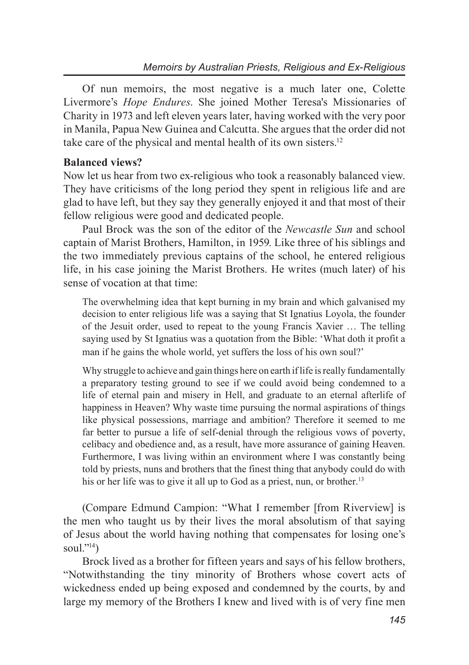Of nun memoirs, the most negative is a much later one, Colette Livermore's *Hope Endures*. She joined Mother Teresa's Missionaries of Charity in 1973 and left eleven years later, having worked with the very poor in Manila, Papua New Guinea and Calcutta. She argues that the order did not take care of the physical and mental health of its own sisters.12

## **Balanced views?**

Now let us hear from two ex-religious who took a reasonably balanced view. They have criticisms of the long period they spent in religious life and are glad to have left, but they say they generally enjoyed it and that most of their fellow religious were good and dedicated people.

Paul Brock was the son of the editor of the *Newcastle Sun* and school captain of Marist Brothers, Hamilton, in 1959. Like three of his siblings and the two immediately previous captains of the school, he entered religious life, in his case joining the Marist Brothers. He writes (much later) of his sense of vocation at that time:

The overwhelming idea that kept burning in my brain and which galvanised my decision to enter religious life was a saying that St Ignatius Loyola, the founder of the Jesuit order, used to repeat to the young Francis Xavier … The telling saying used by St Ignatius was a quotation from the Bible: 'What doth it profit a man if he gains the whole world, yet suffers the loss of his own soul?'

Why struggle to achieve and gain things here on earth if life is really fundamentally a preparatory testing ground to see if we could avoid being condemned to a life of eternal pain and misery in Hell, and graduate to an eternal afterlife of happiness in Heaven? Why waste time pursuing the normal aspirations of things like physical possessions, marriage and ambition? Therefore it seemed to me far better to pursue a life of self-denial through the religious vows of poverty, celibacy and obedience and, as a result, have more assurance of gaining Heaven. Furthermore, I was living within an environment where I was constantly being told by priests, nuns and brothers that the finest thing that anybody could do with his or her life was to give it all up to God as a priest, nun, or brother.<sup>13</sup>

(Compare Edmund Campion: "What I remember [from Riverview] is the men who taught us by their lives the moral absolutism of that saying of Jesus about the world having nothing that compensates for losing one's soul." $^{14}$ )

Brock lived as a brother for fifteen years and says of his fellow brothers, "Notwithstanding the tiny minority of Brothers whose covert acts of wickedness ended up being exposed and condemned by the courts, by and large my memory of the Brothers I knew and lived with is of very fine men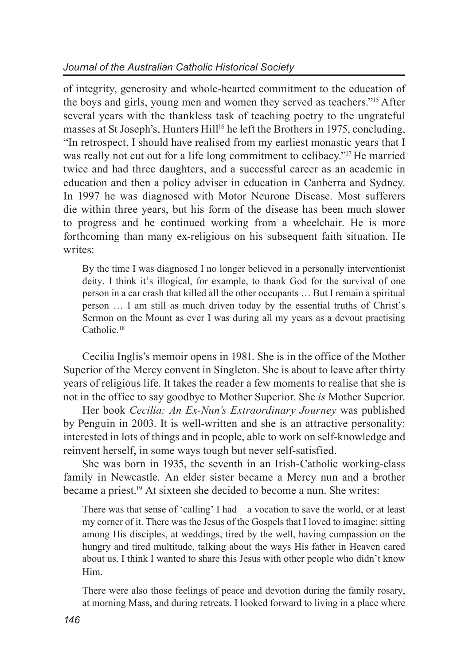of integrity, generosity and whole-hearted commitment to the education of the boys and girls, young men and women they served as teachers."15 After several years with the thankless task of teaching poetry to the ungrateful masses at St Joseph's, Hunters Hill<sup>16</sup> he left the Brothers in 1975, concluding, "In retrospect, I should have realised from my earliest monastic years that I was really not cut out for a life long commitment to celibacy."<sup>17</sup> He married twice and had three daughters, and a successful career as an academic in education and then a policy adviser in education in Canberra and Sydney. In 1997 he was diagnosed with Motor Neurone Disease. Most sufferers die within three years, but his form of the disease has been much slower to progress and he continued working from a wheelchair. He is more forthcoming than many ex-religious on his subsequent faith situation. He writes:

By the time I was diagnosed I no longer believed in a personally interventionist deity. I think it's illogical, for example, to thank God for the survival of one person in a car crash that killed all the other occupants … But I remain a spiritual person … I am still as much driven today by the essential truths of Christ's Sermon on the Mount as ever I was during all my years as a devout practising Catholic.<sup>18</sup>

Cecilia Inglis's memoir opens in 1981. She is in the office of the Mother Superior of the Mercy convent in Singleton. She is about to leave after thirty years of religious life. It takes the reader a few moments to realise that she is not in the office to say goodbye to Mother Superior. She *is* Mother Superior.

Her book *Cecilia: An Ex-Nun's Extraordinary Journey* was published by Penguin in 2003. It is well-written and she is an attractive personality: interested in lots of things and in people, able to work on self-knowledge and reinvent herself, in some ways tough but never self-satisfied.

She was born in 1935, the seventh in an Irish-Catholic working-class family in Newcastle. An elder sister became a Mercy nun and a brother became a priest.19 At sixteen she decided to become a nun. She writes:

There was that sense of 'calling' I had – a vocation to save the world, or at least my corner of it. There was the Jesus of the Gospels that I loved to imagine: sitting among His disciples, at weddings, tired by the well, having compassion on the hungry and tired multitude, talking about the ways His father in Heaven cared about us. I think I wanted to share this Jesus with other people who didn't know Him.

There were also those feelings of peace and devotion during the family rosary, at morning Mass, and during retreats. I looked forward to living in a place where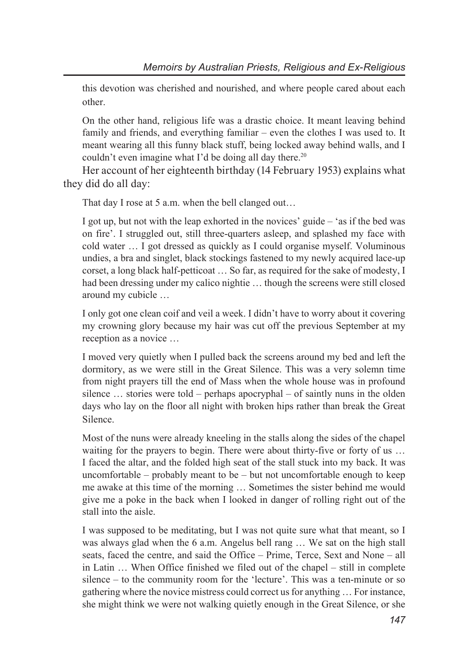this devotion was cherished and nourished, and where people cared about each other.

On the other hand, religious life was a drastic choice. It meant leaving behind family and friends, and everything familiar – even the clothes I was used to. It meant wearing all this funny black stuff, being locked away behind walls, and I couldn't even imagine what I'd be doing all day there.<sup>20</sup>

Her account of her eighteenth birthday (14 February 1953) explains what they did do all day:

That day I rose at 5 a.m. when the bell clanged out...

I got up, but not with the leap exhorted in the novices' guide – 'as if the bed was on fire'. I struggled out, still three-quarters asleep, and splashed my face with cold water … I got dressed as quickly as I could organise myself. Voluminous undies, a bra and singlet, black stockings fastened to my newly acquired lace-up corset, a long black half-petticoat … So far, as required for the sake of modesty, I had been dressing under my calico nightie ... though the screens were still closed around my cubicle …

I only got one clean coif and veil a week. I didn't have to worry about it covering my crowning glory because my hair was cut off the previous September at my reception as a novice …

I moved very quietly when I pulled back the screens around my bed and left the dormitory, as we were still in the Great Silence. This was a very solemn time from night prayers till the end of Mass when the whole house was in profound silence … stories were told – perhaps apocryphal – of saintly nuns in the olden days who lay on the floor all night with broken hips rather than break the Great Silence.

Most of the nuns were already kneeling in the stalls along the sides of the chapel waiting for the prayers to begin. There were about thirty-five or forty of us ... I faced the altar, and the folded high seat of the stall stuck into my back. It was uncomfortable – probably meant to be – but not uncomfortable enough to keep me awake at this time of the morning … Sometimes the sister behind me would give me a poke in the back when I looked in danger of rolling right out of the stall into the aisle.

I was supposed to be meditating, but I was not quite sure what that meant, so I was always glad when the 6 a.m. Angelus bell rang … We sat on the high stall seats, faced the centre, and said the Office – Prime, Terce, Sext and None – all in Latin … When Office finished we filed out of the chapel – still in complete silence – to the community room for the 'lecture'. This was a ten-minute or so gathering where the novice mistress could correct us for anything … For instance, she might think we were not walking quietly enough in the Great Silence, or she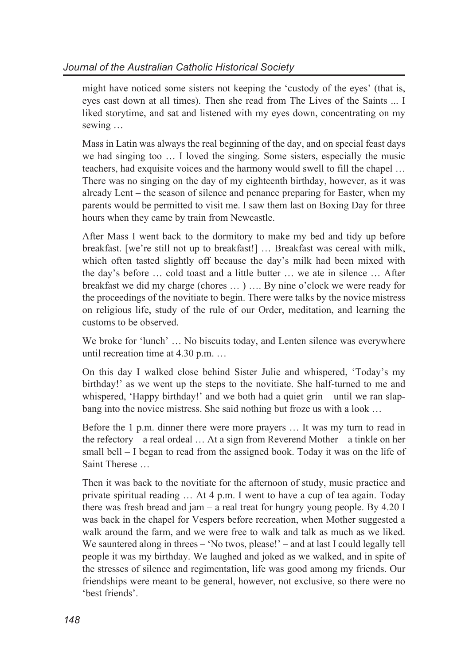might have noticed some sisters not keeping the 'custody of the eyes' (that is, eyes cast down at all times). Then she read from The Lives of the Saints ... I liked storytime, and sat and listened with my eyes down, concentrating on my sewing …

Mass in Latin was always the real beginning of the day, and on special feast days we had singing too … I loved the singing. Some sisters, especially the music teachers, had exquisite voices and the harmony would swell to fill the chapel … There was no singing on the day of my eighteenth birthday, however, as it was already Lent – the season of silence and penance preparing for Easter, when my parents would be permitted to visit me. I saw them last on Boxing Day for three hours when they came by train from Newcastle.

After Mass I went back to the dormitory to make my bed and tidy up before breakfast. [we're still not up to breakfast!] ... Breakfast was cereal with milk, which often tasted slightly off because the day's milk had been mixed with the day's before … cold toast and a little butter … we ate in silence … After breakfast we did my charge (chores … ) …. By nine o'clock we were ready for the proceedings of the novitiate to begin. There were talks by the novice mistress on religious life, study of the rule of our Order, meditation, and learning the customs to be observed.

We broke for 'lunch' ... No biscuits today, and Lenten silence was everywhere until recreation time at 4.30 p.m. …

On this day I walked close behind Sister Julie and whispered, 'Today's my birthday!' as we went up the steps to the novitiate. She half-turned to me and whispered, 'Happy birthday!' and we both had a quiet grin – until we ran slapbang into the novice mistress. She said nothing but froze us with a look …

Before the 1 p.m. dinner there were more prayers … It was my turn to read in the refectory – a real ordeal … At a sign from Reverend Mother – a tinkle on her small bell – I began to read from the assigned book. Today it was on the life of Saint Therese

Then it was back to the novitiate for the afternoon of study, music practice and private spiritual reading … At 4 p.m. I went to have a cup of tea again. Today there was fresh bread and jam – a real treat for hungry young people. By 4.20 I was back in the chapel for Vespers before recreation, when Mother suggested a walk around the farm, and we were free to walk and talk as much as we liked. We sauntered along in threes – 'No twos, please!' – and at last I could legally tell people it was my birthday. We laughed and joked as we walked, and in spite of the stresses of silence and regimentation, life was good among my friends. Our friendships were meant to be general, however, not exclusive, so there were no 'best friends'.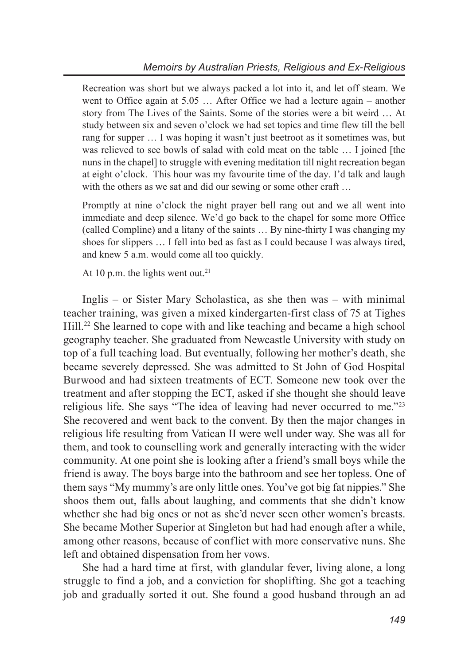Recreation was short but we always packed a lot into it, and let off steam. We went to Office again at 5.05 … After Office we had a lecture again – another story from The Lives of the Saints. Some of the stories were a bit weird … At study between six and seven o'clock we had set topics and time flew till the bell rang for supper … I was hoping it wasn't just beetroot as it sometimes was, but was relieved to see bowls of salad with cold meat on the table ... I joined [the nuns in the chapel] to struggle with evening meditation till night recreation began at eight o'clock. This hour was my favourite time of the day. I'd talk and laugh with the others as we sat and did our sewing or some other craft ...

Promptly at nine o'clock the night prayer bell rang out and we all went into immediate and deep silence. We'd go back to the chapel for some more Office (called Compline) and a litany of the saints … By nine-thirty I was changing my shoes for slippers … I fell into bed as fast as I could because I was always tired, and knew 5 a.m. would come all too quickly.

At 10 p.m. the lights went out.<sup>21</sup>

Inglis – or Sister Mary Scholastica, as she then was – with minimal teacher training, was given a mixed kindergarten-first class of 75 at Tighes Hill.<sup>22</sup> She learned to cope with and like teaching and became a high school geography teacher. She graduated from Newcastle University with study on top of a full teaching load. But eventually, following her mother's death, she became severely depressed. She was admitted to St John of God Hospital Burwood and had sixteen treatments of ECT. Someone new took over the treatment and after stopping the ECT, asked if she thought she should leave religious life. She says "The idea of leaving had never occurred to me."23 She recovered and went back to the convent. By then the major changes in religious life resulting from Vatican II were well under way. She was all for them, and took to counselling work and generally interacting with the wider community. At one point she is looking after a friend's small boys while the friend is away. The boys barge into the bathroom and see her topless. One of them says "My mummy's are only little ones. You've got big fat nippies." She shoos them out, falls about laughing, and comments that she didn't know whether she had big ones or not as she'd never seen other women's breasts. She became Mother Superior at Singleton but had had enough after a while, among other reasons, because of conflict with more conservative nuns. She left and obtained dispensation from her vows.

She had a hard time at first, with glandular fever, living alone, a long struggle to find a job, and a conviction for shoplifting. She got a teaching job and gradually sorted it out. She found a good husband through an ad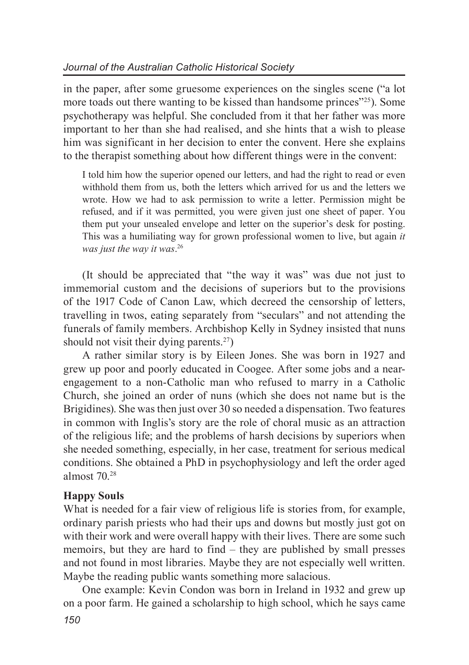in the paper, after some gruesome experiences on the singles scene ("a lot more toads out there wanting to be kissed than handsome princes"25). Some psychotherapy was helpful. She concluded from it that her father was more important to her than she had realised, and she hints that a wish to please him was significant in her decision to enter the convent. Here she explains to the therapist something about how different things were in the convent:

I told him how the superior opened our letters, and had the right to read or even withhold them from us, both the letters which arrived for us and the letters we wrote. How we had to ask permission to write a letter. Permission might be refused, and if it was permitted, you were given just one sheet of paper. You them put your unsealed envelope and letter on the superior's desk for posting. This was a humiliating way for grown professional women to live, but again *it was just the way it was*. 26

(It should be appreciated that "the way it was" was due not just to immemorial custom and the decisions of superiors but to the provisions of the 1917 Code of Canon Law, which decreed the censorship of letters, travelling in twos, eating separately from "seculars" and not attending the funerals of family members. Archbishop Kelly in Sydney insisted that nuns should not visit their dying parents. $27$ )

A rather similar story is by Eileen Jones. She was born in 1927 and grew up poor and poorly educated in Coogee. After some jobs and a nearengagement to a non-Catholic man who refused to marry in a Catholic Church, she joined an order of nuns (which she does not name but is the Brigidines). She was then just over 30 so needed a dispensation. Two features in common with Inglis's story are the role of choral music as an attraction of the religious life; and the problems of harsh decisions by superiors when she needed something, especially, in her case, treatment for serious medical conditions. She obtained a PhD in psychophysiology and left the order aged almost 70.28

## **Happy Souls**

What is needed for a fair view of religious life is stories from, for example, ordinary parish priests who had their ups and downs but mostly just got on with their work and were overall happy with their lives. There are some such memoirs, but they are hard to find – they are published by small presses and not found in most libraries. Maybe they are not especially well written. Maybe the reading public wants something more salacious.

One example: Kevin Condon was born in Ireland in 1932 and grew up on a poor farm. He gained a scholarship to high school, which he says came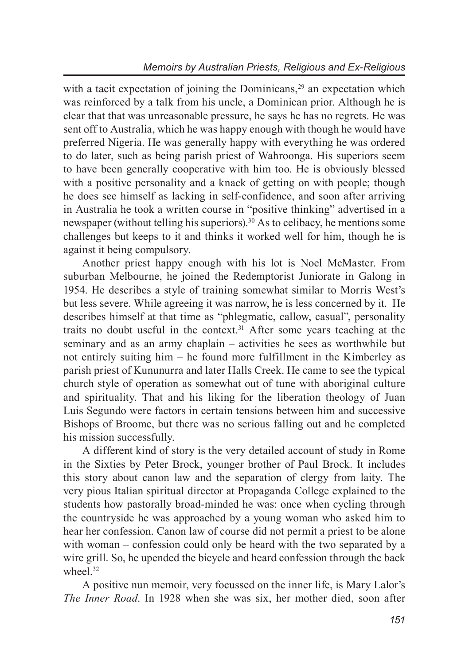with a tacit expectation of joining the Dominicans.<sup>29</sup> an expectation which was reinforced by a talk from his uncle, a Dominican prior. Although he is clear that that was unreasonable pressure, he says he has no regrets. He was sent off to Australia, which he was happy enough with though he would have preferred Nigeria. He was generally happy with everything he was ordered to do later, such as being parish priest of Wahroonga. His superiors seem to have been generally cooperative with him too. He is obviously blessed with a positive personality and a knack of getting on with people; though he does see himself as lacking in self-confidence, and soon after arriving in Australia he took a written course in "positive thinking" advertised in a newspaper (without telling his superiors).30 As to celibacy, he mentions some challenges but keeps to it and thinks it worked well for him, though he is against it being compulsory.

Another priest happy enough with his lot is Noel McMaster. From suburban Melbourne, he joined the Redemptorist Juniorate in Galong in 1954. He describes a style of training somewhat similar to Morris West's but less severe. While agreeing it was narrow, he is less concerned by it. He describes himself at that time as "phlegmatic, callow, casual", personality traits no doubt useful in the context.<sup>31</sup> After some vears teaching at the seminary and as an army chaplain – activities he sees as worthwhile but not entirely suiting him – he found more fulfillment in the Kimberley as parish priest of Kununurra and later Halls Creek. He came to see the typical church style of operation as somewhat out of tune with aboriginal culture and spirituality. That and his liking for the liberation theology of Juan Luis Segundo were factors in certain tensions between him and successive Bishops of Broome, but there was no serious falling out and he completed his mission successfully.

A different kind of story is the very detailed account of study in Rome in the Sixties by Peter Brock, younger brother of Paul Brock. It includes this story about canon law and the separation of clergy from laity. The very pious Italian spiritual director at Propaganda College explained to the students how pastorally broad-minded he was: once when cycling through the countryside he was approached by a young woman who asked him to hear her confession. Canon law of course did not permit a priest to be alone with woman – confession could only be heard with the two separated by a wire grill. So, he upended the bicycle and heard confession through the back wheel<sup>32</sup>

A positive nun memoir, very focussed on the inner life, is Mary Lalor's *The Inner Road*. In 1928 when she was six, her mother died, soon after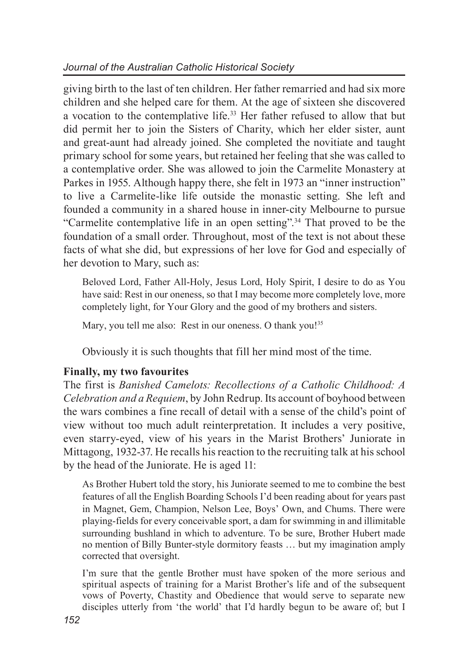giving birth to the last of ten children. Her father remarried and had six more children and she helped care for them. At the age of sixteen she discovered a vocation to the contemplative life.33 Her father refused to allow that but did permit her to join the Sisters of Charity, which her elder sister, aunt and great-aunt had already joined. She completed the novitiate and taught primary school for some years, but retained her feeling that she was called to a contemplative order. She was allowed to join the Carmelite Monastery at Parkes in 1955. Although happy there, she felt in 1973 an "inner instruction" to live a Carmelite-like life outside the monastic setting. She left and founded a community in a shared house in inner-city Melbourne to pursue "Carmelite contemplative life in an open setting".34 That proved to be the foundation of a small order. Throughout, most of the text is not about these facts of what she did, but expressions of her love for God and especially of her devotion to Mary, such as:

Beloved Lord, Father All-Holy, Jesus Lord, Holy Spirit, I desire to do as You have said: Rest in our oneness, so that I may become more completely love, more completely light, for Your Glory and the good of my brothers and sisters.

Mary, you tell me also: Rest in our oneness. O thank you!<sup>35</sup>

Obviously it is such thoughts that fill her mind most of the time.

## **Finally, my two favourites**

The first is *Banished Camelots: Recollections of a Catholic Childhood: A Celebration and a Requiem*, by John Redrup. Its account of boyhood between the wars combines a fine recall of detail with a sense of the child's point of view without too much adult reinterpretation. It includes a very positive, even starry-eyed, view of his years in the Marist Brothers' Juniorate in Mittagong, 1932-37. He recalls his reaction to the recruiting talk at his school by the head of the Juniorate. He is aged 11:

As Brother Hubert told the story, his Juniorate seemed to me to combine the best features of all the English Boarding Schools I'd been reading about for years past in Magnet, Gem, Champion, Nelson Lee, Boys' Own, and Chums. There were playing-fields for every conceivable sport, a dam for swimming in and illimitable surrounding bushland in which to adventure. To be sure, Brother Hubert made no mention of Billy Bunter-style dormitory feasts … but my imagination amply corrected that oversight.

I'm sure that the gentle Brother must have spoken of the more serious and spiritual aspects of training for a Marist Brother's life and of the subsequent vows of Poverty, Chastity and Obedience that would serve to separate new disciples utterly from 'the world' that I'd hardly begun to be aware of; but I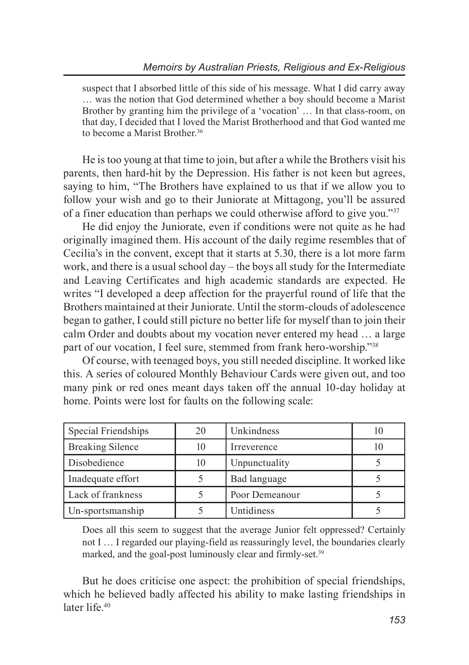suspect that I absorbed little of this side of his message. What I did carry away … was the notion that God determined whether a boy should become a Marist Brother by granting him the privilege of a 'vocation'... In that class-room, on that day, I decided that I loved the Marist Brotherhood and that God wanted me to become a Marist Brother.<sup>36</sup>

He is too young at that time to join, but after a while the Brothers visit his parents, then hard-hit by the Depression. His father is not keen but agrees, saying to him, "The Brothers have explained to us that if we allow you to follow your wish and go to their Juniorate at Mittagong, you'll be assured of a finer education than perhaps we could otherwise afford to give you."37

He did enjoy the Juniorate, even if conditions were not quite as he had originally imagined them. His account of the daily regime resembles that of Cecilia's in the convent, except that it starts at 5.30, there is a lot more farm work, and there is a usual school day – the boys all study for the Intermediate and Leaving Certificates and high academic standards are expected. He writes "I developed a deep affection for the prayerful round of life that the Brothers maintained at their Juniorate. Until the storm-clouds of adolescence began to gather, I could still picture no better life for myself than to join their calm Order and doubts about my vocation never entered my head … a large part of our vocation, I feel sure, stemmed from frank hero-worship."38

Of course, with teenaged boys, you still needed discipline. It worked like this. A series of coloured Monthly Behaviour Cards were given out, and too many pink or red ones meant days taken off the annual 10-day holiday at home. Points were lost for faults on the following scale:

| Special Friendships     | 20 | Unkindness     |  |
|-------------------------|----|----------------|--|
| <b>Breaking Silence</b> | 10 | Irreverence    |  |
| Disobedience            | 10 | Unpunctuality  |  |
| Inadequate effort       |    | Bad language   |  |
| Lack of frankness       |    | Poor Demeanour |  |
| Un-sportsmanship        |    | Untidiness     |  |

Does all this seem to suggest that the average Junior felt oppressed? Certainly not I … I regarded our playing-field as reassuringly level, the boundaries clearly marked, and the goal-post luminously clear and firmly-set.<sup>39</sup>

But he does criticise one aspect: the prohibition of special friendships, which he believed badly affected his ability to make lasting friendships in later life.<sup>40</sup>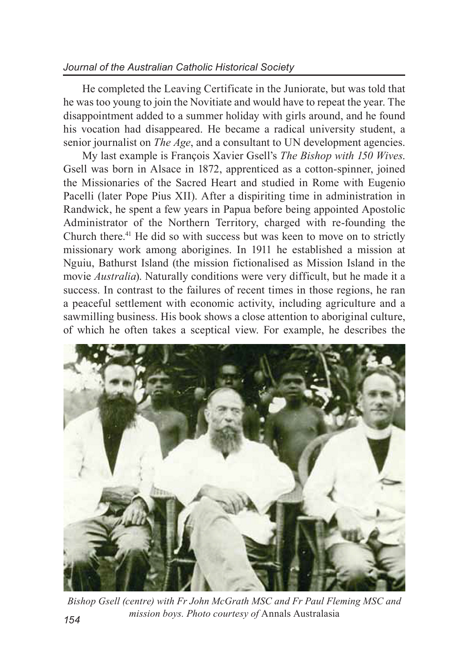## *Journal of the Australian Catholic Historical Society*

He completed the Leaving Certificate in the Juniorate, but was told that he was too young to join the Novitiate and would have to repeat the year. The disappointment added to a summer holiday with girls around, and he found his vocation had disappeared. He became a radical university student, a senior journalist on *The Age*, and a consultant to UN development agencies.

My last example is François Xavier Gsell's *The Bishop with 150 Wives*. Gsell was born in Alsace in 1872, apprenticed as a cotton-spinner, joined the Missionaries of the Sacred Heart and studied in Rome with Eugenio Pacelli (later Pope Pius XII). After a dispiriting time in administration in Randwick, he spent a few years in Papua before being appointed Apostolic Administrator of the Northern Territory, charged with re-founding the Church there.41 He did so with success but was keen to move on to strictly missionary work among aborigines. In 1911 he established a mission at Nguiu, Bathurst Island (the mission fictionalised as Mission Island in the movie *Australia*). Naturally conditions were very difficult, but he made it a success. In contrast to the failures of recent times in those regions, he ran a peaceful settlement with economic activity, including agriculture and a sawmilling business. His book shows a close attention to aboriginal culture, of which he often takes a sceptical view. For example, he describes the



*Bishop Gsell (centre) with Fr John McGrath MSC and Fr Paul Fleming MSC and mission boys. Photo courtesy of* Annals Australasia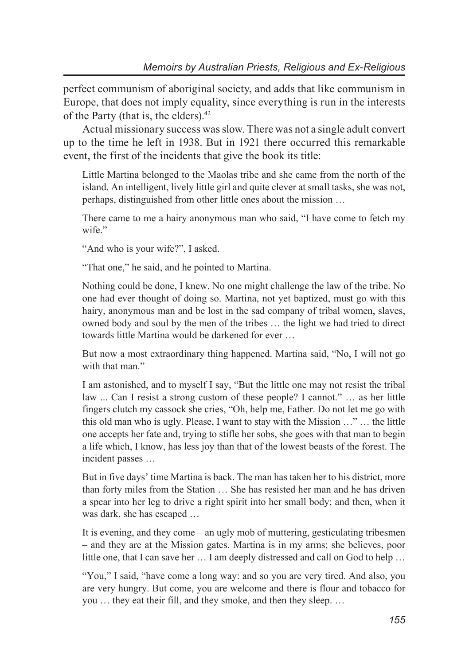perfect communism of aboriginal society, and adds that like communism in Europe, that does not imply equality, since everything is run in the interests of the Party (that is, the elders).42

Actual missionary success was slow. There was not a single adult convert up to the time he left in 1938. But in 1921 there occurred this remarkable event, the first of the incidents that give the book its title:

Little Martina belonged to the Maolas tribe and she came from the north of the island. An intelligent, lively little girl and quite clever at small tasks, she was not, perhaps, distinguished from other little ones about the mission …

There came to me a hairy anonymous man who said, "I have come to fetch my wife."

"And who is your wife?", I asked.

"That one," he said, and he pointed to Martina.

Nothing could be done, I knew. No one might challenge the law of the tribe. No one had ever thought of doing so. Martina, not yet baptized, must go with this hairy, anonymous man and be lost in the sad company of tribal women, slaves, owned body and soul by the men of the tribes … the light we had tried to direct towards little Martina would be darkened for ever …

But now a most extraordinary thing happened. Martina said, "No, I will not go with that man."

I am astonished, and to myself I say, "But the little one may not resist the tribal law ... Can I resist a strong custom of these people? I cannot." … as her little fingers clutch my cassock she cries, "Oh, help me, Father. Do not let me go with this old man who is ugly. Please, I want to stay with the Mission …" … the little one accepts her fate and, trying to stifle her sobs, she goes with that man to begin a life which, I know, has less joy than that of the lowest beasts of the forest. The incident passes …

But in five days' time Martina is back. The man has taken her to his district, more than forty miles from the Station … She has resisted her man and he has driven a spear into her leg to drive a right spirit into her small body; and then, when it was dark, she has escaped …

It is evening, and they come – an ugly mob of muttering, gesticulating tribesmen – and they are at the Mission gates. Martina is in my arms; she believes, poor little one, that I can save her … I am deeply distressed and call on God to help …

"You," I said, "have come a long way: and so you are very tired. And also, you are very hungry. But come, you are welcome and there is flour and tobacco for you … they eat their fill, and they smoke, and then they sleep. …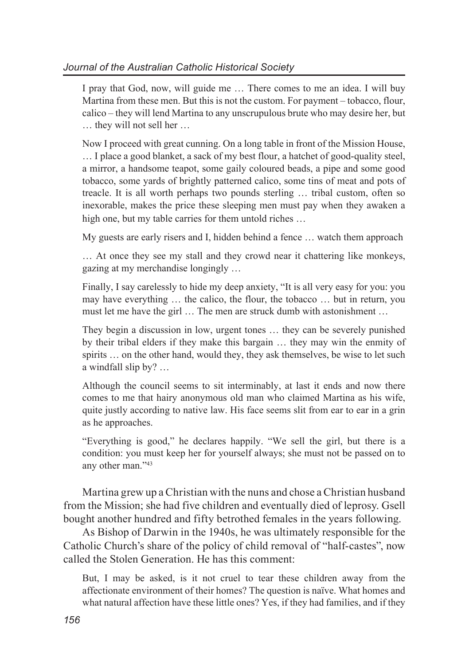I pray that God, now, will guide me … There comes to me an idea. I will buy Martina from these men. But this is not the custom. For payment – tobacco, flour, calico – they will lend Martina to any unscrupulous brute who may desire her, but … they will not sell her …

Now I proceed with great cunning. On a long table in front of the Mission House, … I place a good blanket, a sack of my best flour, a hatchet of good-quality steel, a mirror, a handsome teapot, some gaily coloured beads, a pipe and some good tobacco, some yards of brightly patterned calico, some tins of meat and pots of treacle. It is all worth perhaps two pounds sterling … tribal custom, often so inexorable, makes the price these sleeping men must pay when they awaken a high one, but my table carries for them untold riches ...

My guests are early risers and I, hidden behind a fence … watch them approach

… At once they see my stall and they crowd near it chattering like monkeys, gazing at my merchandise longingly …

Finally, I say carelessly to hide my deep anxiety, "It is all very easy for you: you may have everything … the calico, the flour, the tobacco … but in return, you must let me have the girl … The men are struck dumb with astonishment …

They begin a discussion in low, urgent tones … they can be severely punished by their tribal elders if they make this bargain … they may win the enmity of spirits … on the other hand, would they, they ask themselves, be wise to let such a windfall slip by? …

Although the council seems to sit interminably, at last it ends and now there comes to me that hairy anonymous old man who claimed Martina as his wife, quite justly according to native law. His face seems slit from ear to ear in a grin as he approaches.

"Everything is good," he declares happily. "We sell the girl, but there is a condition: you must keep her for yourself always; she must not be passed on to any other man."43

Martina grew up a Christian with the nuns and chose a Christian husband from the Mission; she had five children and eventually died of leprosy. Gsell bought another hundred and fifty betrothed females in the years following.

As Bishop of Darwin in the 1940s, he was ultimately responsible for the Catholic Church's share of the policy of child removal of "half-castes", now called the Stolen Generation. He has this comment:

But, I may be asked, is it not cruel to tear these children away from the affectionate environment of their homes? The question is naïve. What homes and what natural affection have these little ones? Yes, if they had families, and if they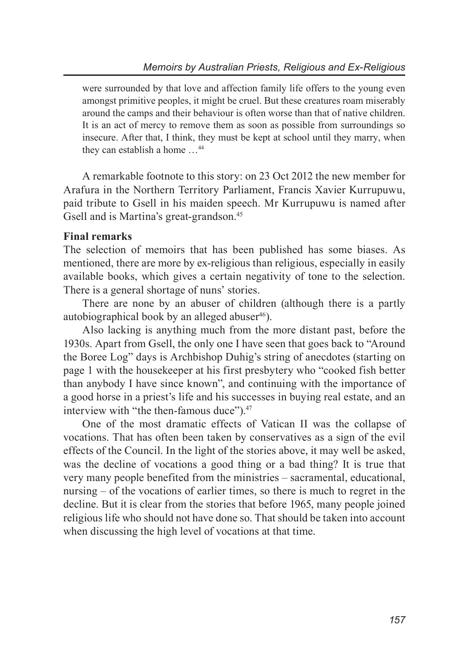were surrounded by that love and affection family life offers to the young even amongst primitive peoples, it might be cruel. But these creatures roam miserably around the camps and their behaviour is often worse than that of native children. It is an act of mercy to remove them as soon as possible from surroundings so insecure. After that, I think, they must be kept at school until they marry, when they can establish a home …44

A remarkable footnote to this story: on 23 Oct 2012 the new member for Arafura in the Northern Territory Parliament, Francis Xavier Kurrupuwu, paid tribute to Gsell in his maiden speech. Mr Kurrupuwu is named after Gsell and is Martina's great-grandson.<sup>45</sup>

### **Final remarks**

The selection of memoirs that has been published has some biases. As mentioned, there are more by ex-religious than religious, especially in easily available books, which gives a certain negativity of tone to the selection. There is a general shortage of nuns' stories.

There are none by an abuser of children (although there is a partly autobiographical book by an alleged abuser $46$ ).

Also lacking is anything much from the more distant past, before the 1930s. Apart from Gsell, the only one I have seen that goes back to "Around the Boree Log" days is Archbishop Duhig's string of anecdotes (starting on page 1 with the housekeeper at his first presbytery who "cooked fish better than anybody I have since known", and continuing with the importance of a good horse in a priest's life and his successes in buying real estate, and an interview with "the then-famous duce").<sup>47</sup>

One of the most dramatic effects of Vatican II was the collapse of vocations. That has often been taken by conservatives as a sign of the evil effects of the Council. In the light of the stories above, it may well be asked, was the decline of vocations a good thing or a bad thing? It is true that very many people benefited from the ministries – sacramental, educational, nursing – of the vocations of earlier times, so there is much to regret in the decline. But it is clear from the stories that before 1965, many people joined religious life who should not have done so. That should be taken into account when discussing the high level of vocations at that time.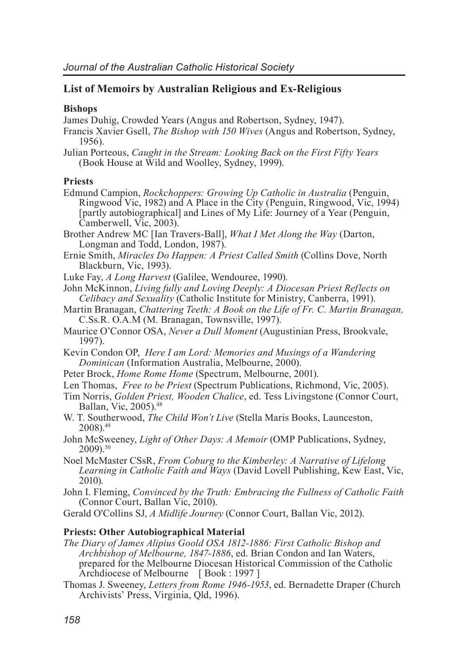## **List of Memoirs by Australian Religious and Ex-Religious**

### **Bishops**

James Duhig, Crowded Years (Angus and Robertson, Sydney, 1947).

- Francis Xavier Gsell, *The Bishop with 150 Wives* (Angus and Robertson, Sydney, 1956).
- Julian Porteous, *Caught in the Stream: Looking Back on the First Fifty Years* (Book House at Wild and Woolley, Sydney, 1999).

### **Priests**

Edmund Campion, *Rockchoppers: Growing Up Catholic in Australia* (Penguin, Ringwood Vic, 1982) and A Place in the City (Penguin, Ringwood, Vic, 1994) [partly autobiographical] and Lines of My Life: Journey of a Year (Penguin, Camberwell, Vic, 2003).

Brother Andrew MC [Ian Travers-Ball], *What I Met Along the Way* (Darton, Longman and Todd, London, 1987).

- Ernie Smith, *Miracles Do Happen: A Priest Called Smith* (Collins Dove, North Blackburn, Vic, 1993).
- Luke Fay, *A Long Harvest* (Galilee, Wendouree, 1990).

John McKinnon, *Living fully and Loving Deeply: A Diocesan Priest Reflects on Celibacy and Sexuality* (Catholic Institute for Ministry, Canberra, 1991).

- Martin Branagan, *Chattering Teeth: A Book on the Life of Fr. C. Martin Branagan,*  C.Ss.R. O.A.M (M. Branagan, Townsville, 1997).
- Maurice O'Connor OSA, *Never a Dull Moment* (Augustinian Press, Brookvale, 1997).
- Kevin Condon OP, *Here I am Lord: Memories and Musings of a Wandering Dominican* (Information Australia, Melbourne, 2000).
- Peter Brock, *Home Rome Home* (Spectrum, Melbourne, 2001).

Len Thomas, *Free to be Priest* (Spectrum Publications, Richmond, Vic, 2005).

- Tim Norris, *Golden Priest, Wooden Chalice*, ed. Tess Livingstone (Connor Court, Ballan, Vic, 2005).48
- W. T. Southerwood, *The Child Won't Live* (Stella Maris Books, Launceston, 2008).49
- John McSweeney, *Light of Other Days: A Memoir* (OMP Publications, Sydney,  $2009$ ) $50$

Noel McMaster CSsR, *From Coburg to the Kimberley: A Narrative of Lifelong Learning in Catholic Faith and Ways* (David Lovell Publishing, Kew East, Vic, 2010).

John I. Fleming, *Convinced by the Truth: Embracing the Fullness of Catholic Faith* (Connor Court, Ballan Vic, 2010).

Gerald O'Collins SJ, *A Midlife Journey* (Connor Court, Ballan Vic, 2012).

### **Priests: Other Autobiographical Material**

- *The Diary of James Alipius Goold OSA 1812-1886: First Catholic Bishop and Archbishop of Melbourne, 1847-1886*, ed. Brian Condon and Ian Waters, prepared for the Melbourne Diocesan Historical Commission of the Catholic Archdiocese of Melbourne [ Book : 1997 ]
- Thomas J. Sweeney, *Letters from Rome 1946-1953*, ed. Bernadette Draper (Church Archivists' Press, Virginia, Qld, 1996).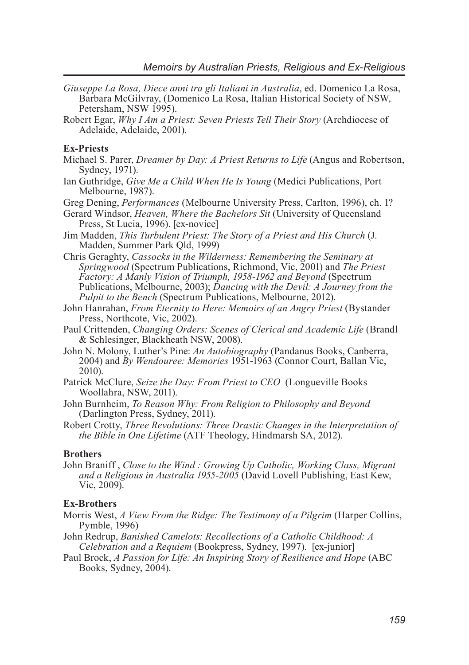- *Giuseppe La Rosa, Diece anni tra gli Italiani in Australia*, ed. Domenico La Rosa, Barbara McGilvray, (Domenico La Rosa, Italian Historical Society of NSW, Petersham, NSW 1995).
- Robert Egar, *Why I Am a Priest: Seven Priests Tell Their Story* (Archdiocese of Adelaide, Adelaide, 2001).

#### **Ex-Priests**

- Michael S. Parer, *Dreamer by Day: A Priest Returns to Life* (Angus and Robertson, Sydney, 1971).
- Ian Guthridge, *Give Me a Child When He Is Young* (Medici Publications, Port Melbourne, 1987).
- Greg Dening, *Performances* (Melbourne University Press, Carlton, 1996), ch. 1?
- Gerard Windsor, *Heaven, Where the Bachelors Sit* (University of Queensland Press, St Lucia, 1996). [ex-novice]
- Jim Madden, *This Turbulent Priest: The Story of a Priest and His Church* (J. Madden, Summer Park Qld, 1999)
- Chris Geraghty, *Cassocks in the Wilderness: Remembering the Seminary at Springwood* (Spectrum Publications, Richmond, Vic, 2001) and *The Priest Factory: A Manly Vision of Triumph, 1958-1962 and Beyond* (Spectrum Publications, Melbourne, 2003); *Dancing with the Devil: A Journey from the Pulpit to the Bench* (Spectrum Publications, Melbourne, 2012).
- John Hanrahan, *From Eternity to Here: Memoirs of an Angry Priest* (Bystander) Press, Northcote, Vic, 2002).
- Paul Crittenden, *Changing Orders: Scenes of Clerical and Academic Life* (Brandl & Schlesinger, Blackheath NSW, 2008).
- John N. Molony, Luther's Pine: *An Autobiography* (Pandanus Books, Canberra, 2004) and *By Wendouree: Memories* 1951-1963 (Connor Court, Ballan Vic, 2010).
- Patrick McClure, *Seize the Day: From Priest to CEO* (Longueville Books Woollahra, NSW, 2011).
- John Burnheim, *To Reason Why: From Religion to Philosophy and Beyond*  (Darlington Press, Sydney, 2011).
- Robert Crotty, *Three Revolutions: Three Drastic Changes in the Interpretation of the Bible in One Lifetime* (ATF Theology, Hindmarsh SA, 2012).

#### **Brothers**

John Braniff , *Close to the Wind : Growing Up Catholic, Working Class, Migrant and a Religious in Australia 1955-2005* (David Lovell Publishing, East Kew, Vic $2009$ 

#### **Ex-Brothers**

- Morris West, *A View From the Ridge: The Testimony of a Pilgrim* (Harper Collins, Pymble, 1996)
- John Redrup, *Banished Camelots: Recollections of a Catholic Childhood: A Celebration and a Requiem* (Bookpress, Sydney, 1997). [ex-junior]
- Paul Brock, *A Passion for Life: An Inspiring Story of Resilience and Hope* (ABC Books, Sydney, 2004).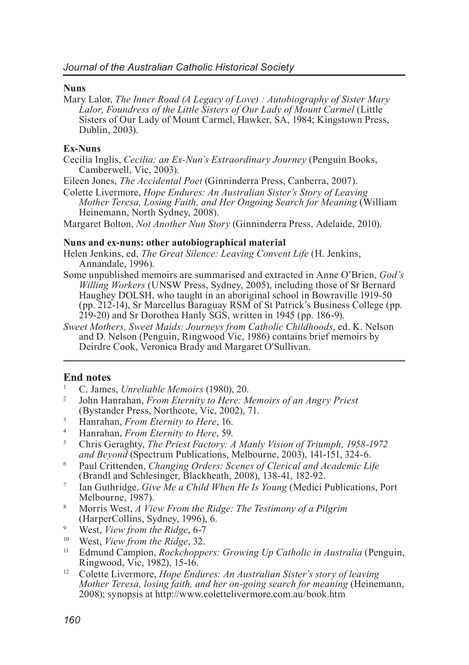#### **Nuns**

Mary Lalor, *The Inner Road (A Legacy of Love) : Autobiography of Sister Mary Lalor, Foundress of the Little Sisters of Our Lady of Mount Carmel* (Little Sisters of Our Lady of Mount Carmel, Hawker, SA, 1984; Kingstown Press, Dublin, 2003).

#### **Ex-Nuns**

Cecilia Inglis, *Cecilia: an Ex-Nun's Extraordinary Journey* (Penguin Books, Camberwell, Vic, 2003).

Eileen Jones, *The Accidental Poet* (Ginninderra Press, Canberra, 2007).

Colette Livermore, *Hope Endures: An Australian Sister's Story of Leaving Mother Teresa, Losing Faith, and Her Ongoing Search for Meaning* (William Heinemann, North Sydney, 2008).

Margaret Bolton, *Not Another Nun Story* (Ginninderra Press, Adelaide, 2010).

#### **Nuns and ex-nuns: other autobiographical material**

Helen Jenkins, ed, *The Great Silence: Leaving Convent Life* (H. Jenkins, Annandale, 1996).

- Some unpublished memoirs are summarised and extracted in Anne O'Brien, *God's Willing Workers* (UNSW Press, Sydney, 2005), including those of Sr Bernard Haughey DOLSH, who taught in an aboriginal school in Bowraville 1919-50 (pp. 212-14), Sr Marcellus Baraguay RSM of St Patrick's Business College (pp. 219-20) and Sr Dorothea Hanly SGS, written in 1945 (pp. 186-9).
- *Sweet Mothers, Sweet Maids: Journeys from Catholic Childhoods*, ed. K. Nelson and D. Nelson (Penguin, Ringwood Vic, 1986) contains brief memoirs by Deirdre Cook, Veronica Brady and Margaret O'Sullivan.

### **End notes**

- <sup>1</sup> C. James, *Unreliable Memoirs* (1980), 20.
- <sup>2</sup> John Hanrahan, *From Eternity to Here: Memoirs of an Angry Priest*  (Bystander Press, Northcote, Vic, 2002), 71.
- <sup>3</sup> Hanrahan, *From Eternity to Here*, 16.<br><sup>4</sup> Hanrahan, *From Eternity to Hang*, 50.
- <sup>4</sup> Hanrahan, *From Eternity to Here*, 59.
- <sup>5</sup> Chris Geraghty, *The Priest Factory: A Manly Vision of Triumph, 1958-1972 and Beyond* (Spectrum Publications, Melbourne, 2003), 141-151, 324-6.
- <sup>6</sup> Paul Crittenden, *Changing Orders: Scenes of Clerical and Academic Life* (Brandl and Schlesinger, Blackheath, 2008), 138-41, 182-92.
- <sup>7</sup> Ian Guthridge, *Give Me a Child When He Is Young* (Medici Publications, Port Melbourne, 1987).
- <sup>8</sup> Morris West, *A View From the Ridge: The Testimony of a Pilgrim* (HarperCollins, Sydney, 1996), 6.
- <sup>9</sup> West, *View from the Ridge*, 6-7
- <sup>10</sup> West, *View from the Ridge*, 32.
- <sup>11</sup> Edmund Campion, *Rockchoppers: Growing Up Catholic in Australia* (Penguin, Ringwood, Vic, 1982), 15-16.
- <sup>12</sup> Colette Livermore, *Hope Endures: An Australian Sister's story of leaving Mother Teresa, losing faith, and her on-going search for meaning* (Heinemann, 2008); synopsis at http://www.colettelivermore.com.au/book.htm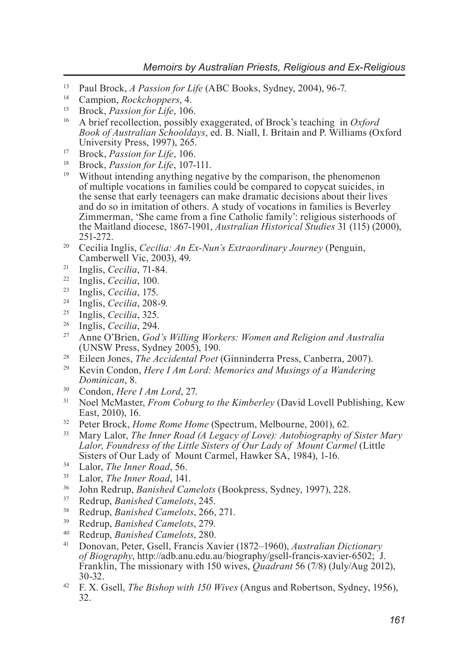- <sup>13</sup> Paul Brock, *A Passion for Life* (ABC Books, Sydney, 2004), 96-7.
- <sup>14</sup> Campion, *Rockchoppers*, 4.
- <sup>15</sup> Brock, *Passion for Life*, 106.
- <sup>16</sup> A brief recollection, possibly exaggerated, of Brock's teaching in *Oxford Book of Australian Schooldays*, ed. B. Niall, I. Britain and P. Williams (Oxford University Press, 1997), 265.
- <sup>17</sup> Brock, *Passion for Life*, 106.
- <sup>18</sup> Brock, *Passion for Life*, 107-111.
- Without intending anything negative by the comparison, the phenomenon of multiple vocations in families could be compared to copycat suicides, in the sense that early teenagers can make dramatic decisions about their lives and do so in imitation of others. A study of vocations in families is Beverley Zimmerman, 'She came from a fine Catholic family': religious sisterhoods of the Maitland diocese, 1867-1901, *Australian Historical Studies* 31 (115) (2000), 251-272.
- <sup>20</sup> Cecilia Inglis, *Cecilia: An Ex-Nun's Extraordinary Journey* (Penguin, Camberwell Vic, 2003), 49.
- <sup>21</sup> Inglis, *Cecilia*, 71-84.
- <sup>22</sup> Inglis, *Cecilia*, 100.
- <sup>23</sup> Inglis, *Cecilia*, 175.
- <sup>24</sup> Inglis, *Cecilia*, 208-9.
- <sup>25</sup> Inglis, *Cecilia*, 325.
- <sup>26</sup> Inglis, *Cecilia*, 294.
- <sup>27</sup> Anne O'Brien, *God's Willing Workers: Women and Religion and Australia*  (UNSW Press, Sydney 2005), 190.
- <sup>28</sup> Eileen Jones, *The Accidental Poet* (Ginninderra Press, Canberra, 2007).
- <sup>29</sup> Kevin Condon, *Here I Am Lord: Memories and Musings of a Wandering Dominican*, 8.
- <sup>30</sup> Condon, *Here I Am Lord*, 27.
- <sup>31</sup> Noel McMaster, *From Coburg to the Kimberley* (David Lovell Publishing, Kew East, 2010), 16.
- <sup>32</sup> Peter Brock, *Home Rome Home* (Spectrum, Melbourne, 2001), 62.
- <sup>33</sup> Mary Lalor, *The Inner Road (A Legacy of Love): Autobiography of Sister Mary Lalor, Foundress of the Little Sisters of Our Lady of Mount Carmel* (Little Sisters of Our Lady of Mount Carmel, Hawker SA, 1984), 1-16.
- <sup>34</sup> Lalor, *The Inner Road*, 56.
- <sup>35</sup> Lalor, *The Inner Road*, 141.<br><sup>36</sup> Lohn Redrijn, *Banished Car*
- <sup>36</sup> John Redrup, *Banished Camelots* (Bookpress, Sydney, 1997), 228.
- <sup>37</sup> Redrup, *Banished Camelots*, 245.
- <sup>38</sup> Redrup, *Banished Camelots*, 266, 271.
- <sup>39</sup> Redrup, *Banished Camelots*, 279.
- <sup>40</sup> Redrup, *Banished Camelots*, 280.
- <sup>41</sup> Donovan, Peter, Gsell, Francis Xavier (1872–1960), *Australian Dictionary of Biography*, http://adb.anu.edu.au/biography/gsell-francis-xavier-6502; J. Franklin, The missionary with 150 wives, *Quadrant* 56 (7/8) (July/Aug 2012), 30-32.
- <sup>42</sup> F. X. Gsell, *The Bishop with 150 Wives* (Angus and Robertson, Sydney, 1956), 32.